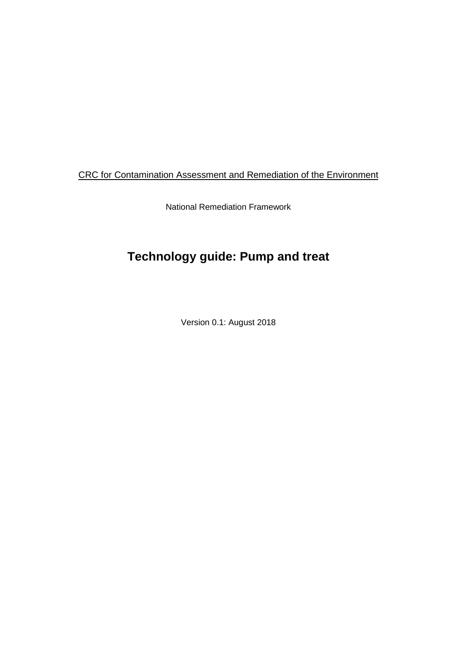### CRC for Contamination Assessment and Remediation of the Environment

National Remediation Framework

# **Technology guide: Pump and treat**

Version 0.1: August 2018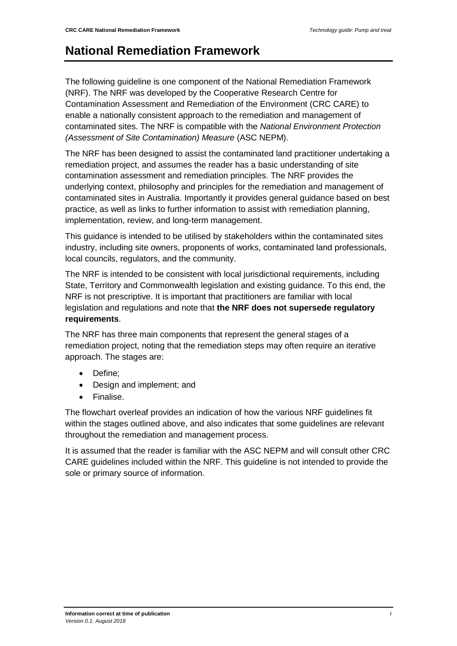## **National Remediation Framework**

The following guideline is one component of the National Remediation Framework (NRF). The NRF was developed by the Cooperative Research Centre for Contamination Assessment and Remediation of the Environment (CRC CARE) to enable a nationally consistent approach to the remediation and management of contaminated sites. The NRF is compatible with the *National Environment Protection (Assessment of Site Contamination) Measure* (ASC NEPM).

The NRF has been designed to assist the contaminated land practitioner undertaking a remediation project, and assumes the reader has a basic understanding of site contamination assessment and remediation principles. The NRF provides the underlying context, philosophy and principles for the remediation and management of contaminated sites in Australia. Importantly it provides general guidance based on best practice, as well as links to further information to assist with remediation planning, implementation, review, and long-term management.

This guidance is intended to be utilised by stakeholders within the contaminated sites industry, including site owners, proponents of works, contaminated land professionals, local councils, regulators, and the community.

The NRF is intended to be consistent with local jurisdictional requirements, including State, Territory and Commonwealth legislation and existing guidance. To this end, the NRF is not prescriptive. It is important that practitioners are familiar with local legislation and regulations and note that **the NRF does not supersede regulatory requirements**.

The NRF has three main components that represent the general stages of a remediation project, noting that the remediation steps may often require an iterative approach. The stages are:

- Define;
- Design and implement; and
- Finalise.

The flowchart overleaf provides an indication of how the various NRF guidelines fit within the stages outlined above, and also indicates that some guidelines are relevant throughout the remediation and management process.

It is assumed that the reader is familiar with the ASC NEPM and will consult other CRC CARE guidelines included within the NRF. This guideline is not intended to provide the sole or primary source of information.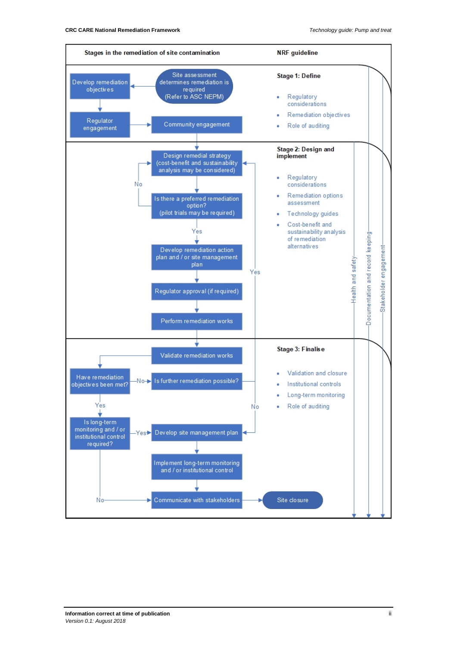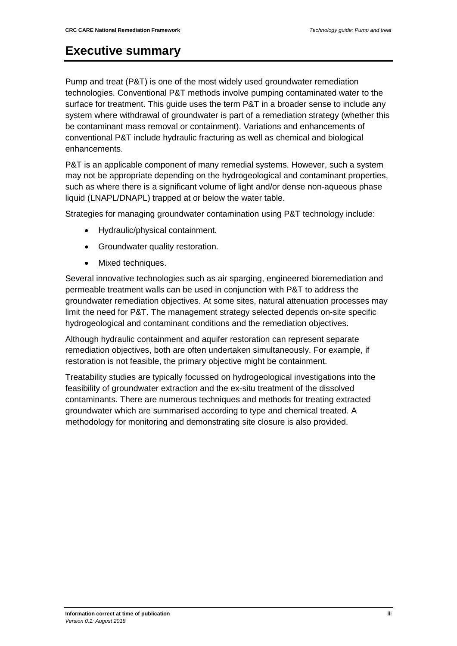### <span id="page-3-0"></span>**Executive summary**

Pump and treat (P&T) is one of the most widely used groundwater remediation technologies. Conventional P&T methods involve pumping contaminated water to the surface for treatment. This guide uses the term P&T in a broader sense to include any system where withdrawal of groundwater is part of a remediation strategy (whether this be contaminant mass removal or containment). Variations and enhancements of conventional P&T include hydraulic fracturing as well as chemical and biological enhancements.

P&T is an applicable component of many remedial systems. However, such a system may not be appropriate depending on the hydrogeological and contaminant properties, such as where there is a significant volume of light and/or dense non-aqueous phase liquid (LNAPL/DNAPL) trapped at or below the water table.

Strategies for managing groundwater contamination using P&T technology include:

- Hydraulic/physical containment.
- Groundwater quality restoration.
- Mixed techniques.

Several innovative technologies such as air sparging, engineered bioremediation and permeable treatment walls can be used in conjunction with P&T to address the groundwater remediation objectives. At some sites, natural attenuation processes may limit the need for P&T. The management strategy selected depends on-site specific hydrogeological and contaminant conditions and the remediation objectives.

Although hydraulic containment and aquifer restoration can represent separate remediation objectives, both are often undertaken simultaneously. For example, if restoration is not feasible, the primary objective might be containment.

Treatability studies are typically focussed on hydrogeological investigations into the feasibility of groundwater extraction and the ex-situ treatment of the dissolved contaminants. There are numerous techniques and methods for treating extracted groundwater which are summarised according to type and chemical treated. A methodology for monitoring and demonstrating site closure is also provided.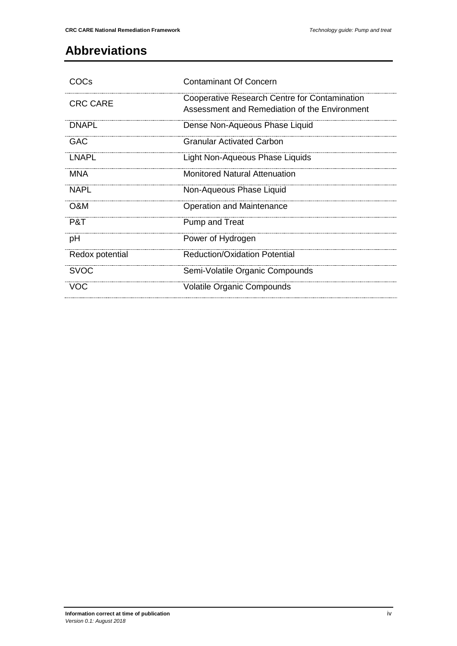# <span id="page-4-0"></span>**Abbreviations**

| COCs            | <b>Contaminant Of Concern</b>                                                                  |
|-----------------|------------------------------------------------------------------------------------------------|
| <b>CRC CARE</b> | Cooperative Research Centre for Contamination<br>Assessment and Remediation of the Environment |
| <b>DNAPI</b>    | Dense Non-Aqueous Phase Liquid                                                                 |
| GAC.            | <b>Granular Activated Carbon</b>                                                               |
| I NAPI          | Light Non-Aqueous Phase Liquids                                                                |
| MNA             | <b>Monitored Natural Attenuation</b>                                                           |
| NAPI            | Non-Aqueous Phase Liquid                                                                       |
| O&M             | Operation and Maintenance                                                                      |
| P&T             | Pump and Treat                                                                                 |
| рH              | Power of Hydrogen                                                                              |
| Redox potential | <b>Reduction/Oxidation Potential</b>                                                           |
| <b>SVOC</b>     | Semi-Volatile Organic Compounds                                                                |
| <b>VOC</b>      | <b>Volatile Organic Compounds</b>                                                              |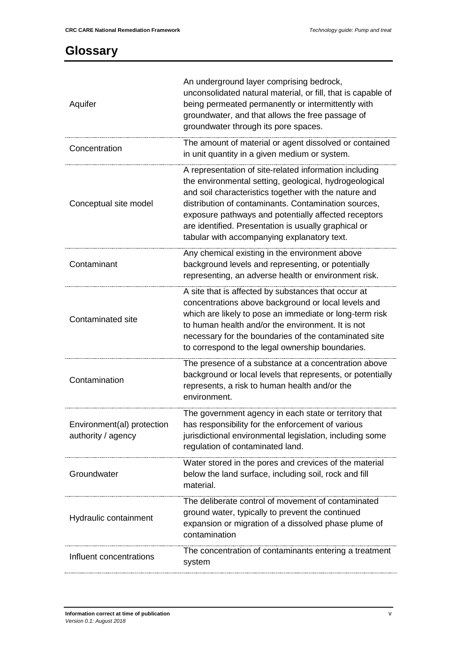### <span id="page-5-0"></span>**Glossary**

| Aquifer                                          | An underground layer comprising bedrock,<br>unconsolidated natural material, or fill, that is capable of<br>being permeated permanently or intermittently with<br>groundwater, and that allows the free passage of<br>groundwater through its pore spaces.                                                                                                                                       |
|--------------------------------------------------|--------------------------------------------------------------------------------------------------------------------------------------------------------------------------------------------------------------------------------------------------------------------------------------------------------------------------------------------------------------------------------------------------|
| Concentration                                    | The amount of material or agent dissolved or contained<br>in unit quantity in a given medium or system.                                                                                                                                                                                                                                                                                          |
| Conceptual site model                            | A representation of site-related information including<br>the environmental setting, geological, hydrogeological<br>and soil characteristics together with the nature and<br>distribution of contaminants. Contamination sources,<br>exposure pathways and potentially affected receptors<br>are identified. Presentation is usually graphical or<br>tabular with accompanying explanatory text. |
| Contaminant                                      | Any chemical existing in the environment above<br>background levels and representing, or potentially<br>representing, an adverse health or environment risk.                                                                                                                                                                                                                                     |
| <b>Contaminated site</b>                         | A site that is affected by substances that occur at<br>concentrations above background or local levels and<br>which are likely to pose an immediate or long-term risk<br>to human health and/or the environment. It is not<br>necessary for the boundaries of the contaminated site<br>to correspond to the legal ownership boundaries.                                                          |
| Contamination                                    | The presence of a substance at a concentration above<br>background or local levels that represents, or potentially<br>represents, a risk to human health and/or the<br>environment.                                                                                                                                                                                                              |
| Environment(al) protection<br>authority / agency | The government agency in each state or territory that<br>has responsibility for the enforcement of various<br>jurisdictional environmental legislation, including some<br>regulation of contaminated land.                                                                                                                                                                                       |
| Groundwater                                      | Water stored in the pores and crevices of the material<br>below the land surface, including soil, rock and fill<br>material.                                                                                                                                                                                                                                                                     |
| Hydraulic containment                            | The deliberate control of movement of contaminated<br>ground water, typically to prevent the continued<br>expansion or migration of a dissolved phase plume of<br>contamination                                                                                                                                                                                                                  |
| Influent concentrations                          | The concentration of contaminants entering a treatment<br>system                                                                                                                                                                                                                                                                                                                                 |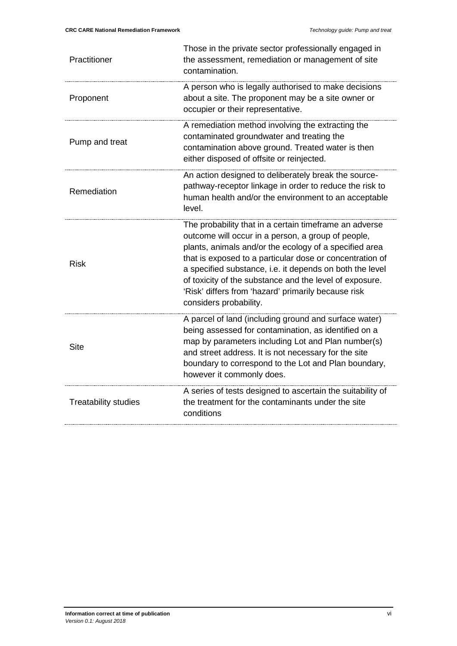| Practitioner                | Those in the private sector professionally engaged in<br>the assessment, remediation or management of site<br>contamination.                                                                                                                                                                                                                                                                                                               |
|-----------------------------|--------------------------------------------------------------------------------------------------------------------------------------------------------------------------------------------------------------------------------------------------------------------------------------------------------------------------------------------------------------------------------------------------------------------------------------------|
| Proponent                   | A person who is legally authorised to make decisions<br>about a site. The proponent may be a site owner or<br>occupier or their representative.                                                                                                                                                                                                                                                                                            |
| Pump and treat              | A remediation method involving the extracting the<br>contaminated groundwater and treating the<br>contamination above ground. Treated water is then<br>either disposed of offsite or reinjected.                                                                                                                                                                                                                                           |
| Remediation                 | An action designed to deliberately break the source-<br>pathway-receptor linkage in order to reduce the risk to<br>human health and/or the environment to an acceptable<br>level.                                                                                                                                                                                                                                                          |
| Risk                        | The probability that in a certain timeframe an adverse<br>outcome will occur in a person, a group of people,<br>plants, animals and/or the ecology of a specified area<br>that is exposed to a particular dose or concentration of<br>a specified substance, i.e. it depends on both the level<br>of toxicity of the substance and the level of exposure.<br>'Risk' differs from 'hazard' primarily because risk<br>considers probability. |
| <b>Site</b>                 | A parcel of land (including ground and surface water)<br>being assessed for contamination, as identified on a<br>map by parameters including Lot and Plan number(s)<br>and street address. It is not necessary for the site<br>boundary to correspond to the Lot and Plan boundary,<br>however it commonly does.                                                                                                                           |
| <b>Treatability studies</b> | A series of tests designed to ascertain the suitability of<br>the treatment for the contaminants under the site<br>conditions                                                                                                                                                                                                                                                                                                              |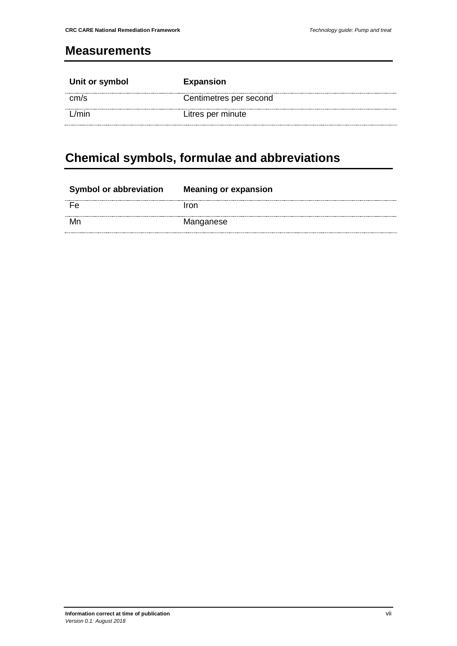#### <span id="page-7-0"></span>**Measurements**

| Unit or symbol | <b>Expansion</b>       |
|----------------|------------------------|
| cm/s           | Centimetres per second |
| /min           | Litres per minute      |

# <span id="page-7-1"></span>**Chemical symbols, formulae and abbreviations**

| <b>Symbol or abbreviation</b> | <b>Meaning or expansion</b> |
|-------------------------------|-----------------------------|
|                               | Iron                        |
| Mr                            | Manganese                   |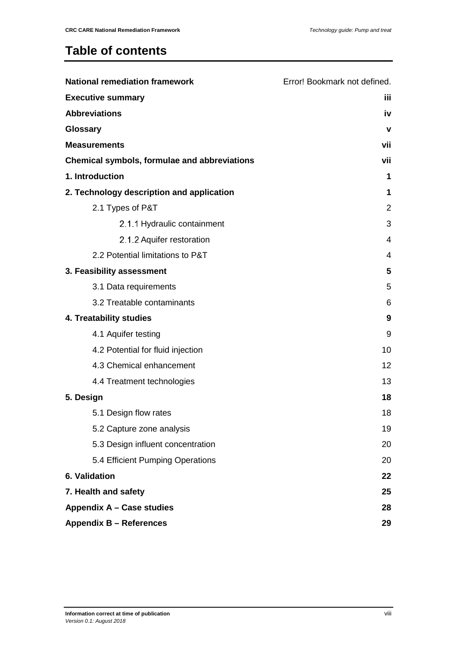## **Table of contents**

| <b>National remediation framework</b>               | Error! Bookmark not defined. |
|-----------------------------------------------------|------------------------------|
| <b>Executive summary</b>                            | iίi                          |
| <b>Abbreviations</b>                                | iv                           |
| Glossary                                            | v                            |
| <b>Measurements</b>                                 | vii                          |
| <b>Chemical symbols, formulae and abbreviations</b> | vii                          |
| 1. Introduction                                     | 1                            |
| 2. Technology description and application           | 1                            |
| 2.1 Types of P&T                                    | $\overline{2}$               |
| 2.1.1 Hydraulic containment                         | 3                            |
| 2.1.2 Aquifer restoration                           | 4                            |
| 2.2 Potential limitations to P&T                    | 4                            |
| 3. Feasibility assessment                           | 5                            |
| 3.1 Data requirements                               | 5                            |
| 3.2 Treatable contaminants                          | 6                            |
| 4. Treatability studies                             | 9                            |
| 4.1 Aquifer testing                                 | 9                            |
| 4.2 Potential for fluid injection                   | 10                           |
| 4.3 Chemical enhancement                            | 12                           |
| 4.4 Treatment technologies                          | 13                           |
| 5. Design                                           | 18                           |
| 5.1 Design flow rates                               | 18                           |
| 5.2 Capture zone analysis                           | 19                           |
| 5.3 Design influent concentration                   | 20                           |
| 5.4 Efficient Pumping Operations                    | 20                           |
| 6. Validation                                       | 22                           |
| 7. Health and safety                                | 25                           |
| Appendix A - Case studies                           | 28                           |
| <b>Appendix B - References</b>                      | 29                           |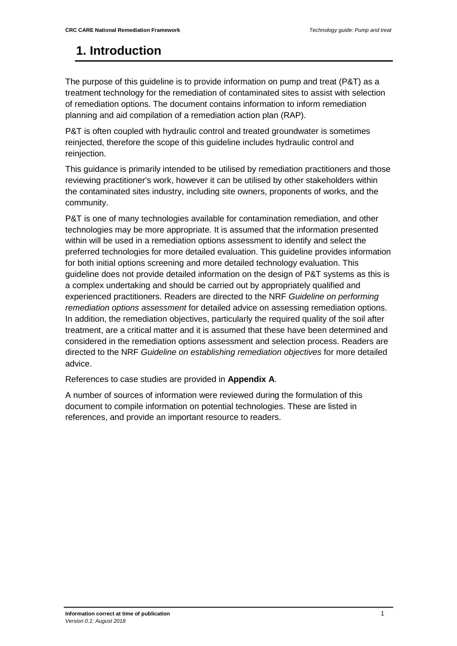### <span id="page-9-0"></span>**1. Introduction**

The purpose of this guideline is to provide information on pump and treat (P&T) as a treatment technology for the remediation of contaminated sites to assist with selection of remediation options. The document contains information to inform remediation planning and aid compilation of a remediation action plan (RAP).

P&T is often coupled with hydraulic control and treated groundwater is sometimes reinjected, therefore the scope of this guideline includes hydraulic control and reinjection.

This guidance is primarily intended to be utilised by remediation practitioners and those reviewing practitioner's work, however it can be utilised by other stakeholders within the contaminated sites industry, including site owners, proponents of works, and the community.

P&T is one of many technologies available for contamination remediation, and other technologies may be more appropriate. It is assumed that the information presented within will be used in a remediation options assessment to identify and select the preferred technologies for more detailed evaluation. This guideline provides information for both initial options screening and more detailed technology evaluation. This guideline does not provide detailed information on the design of P&T systems as this is a complex undertaking and should be carried out by appropriately qualified and experienced practitioners. Readers are directed to the NRF *Guideline on performing remediation options assessment* for detailed advice on assessing remediation options. In addition, the remediation objectives, particularly the required quality of the soil after treatment, are a critical matter and it is assumed that these have been determined and considered in the remediation options assessment and selection process. Readers are directed to the NRF *Guideline on establishing remediation objectives* for more detailed advice.

<span id="page-9-1"></span>References to case studies are provided in **Appendix A**.

A number of sources of information were reviewed during the formulation of this document to compile information on potential technologies. These are listed in references, and provide an important resource to readers.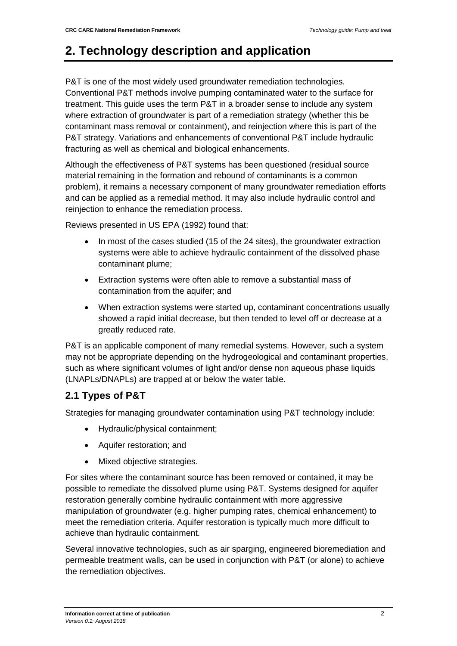## **2. Technology description and application**

P&T is one of the most widely used groundwater remediation technologies. Conventional P&T methods involve pumping contaminated water to the surface for treatment. This guide uses the term P&T in a broader sense to include any system where extraction of groundwater is part of a remediation strategy (whether this be contaminant mass removal or containment), and reinjection where this is part of the P&T strategy. Variations and enhancements of conventional P&T include hydraulic fracturing as well as chemical and biological enhancements.

Although the effectiveness of P&T systems has been questioned (residual source material remaining in the formation and rebound of contaminants is a common problem), it remains a necessary component of many groundwater remediation efforts and can be applied as a remedial method. It may also include hydraulic control and reinjection to enhance the remediation process.

Reviews presented in US EPA (1992) found that:

- In most of the cases studied (15 of the 24 sites), the groundwater extraction systems were able to achieve hydraulic containment of the dissolved phase contaminant plume;
- Extraction systems were often able to remove a substantial mass of contamination from the aquifer; and
- When extraction systems were started up, contaminant concentrations usually showed a rapid initial decrease, but then tended to level off or decrease at a greatly reduced rate.

P&T is an applicable component of many remedial systems. However, such a system may not be appropriate depending on the hydrogeological and contaminant properties, such as where significant volumes of light and/or dense non aqueous phase liquids (LNAPLs/DNAPLs) are trapped at or below the water table.

### <span id="page-10-0"></span>**2.1 Types of P&T**

Strategies for managing groundwater contamination using P&T technology include:

- Hydraulic/physical containment;
- Aquifer restoration; and
- Mixed objective strategies.

For sites where the contaminant source has been removed or contained, it may be possible to remediate the dissolved plume using P&T. Systems designed for aquifer restoration generally combine hydraulic containment with more aggressive manipulation of groundwater (e.g. higher pumping rates, chemical enhancement) to meet the remediation criteria. Aquifer restoration is typically much more difficult to achieve than hydraulic containment.

Several innovative technologies, such as air sparging, engineered bioremediation and permeable treatment walls, can be used in conjunction with P&T (or alone) to achieve the remediation objectives.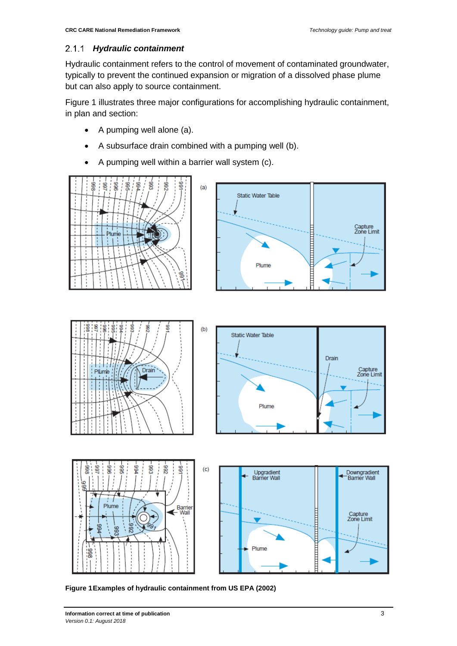#### <span id="page-11-0"></span>*Hydraulic containment*

Hydraulic containment refers to the control of movement of contaminated groundwater, typically to prevent the continued expansion or migration of a dissolved phase plume but can also apply to source containment.

[Figure 1](#page-11-1) illustrates three major configurations for accomplishing hydraulic containment, in plan and section:

- A pumping well alone (a).
- A subsurface drain combined with a pumping well (b).
- A pumping well within a barrier wall system (c).





<span id="page-11-1"></span>**Figure 1Examples of hydraulic containment from US EPA (2002)**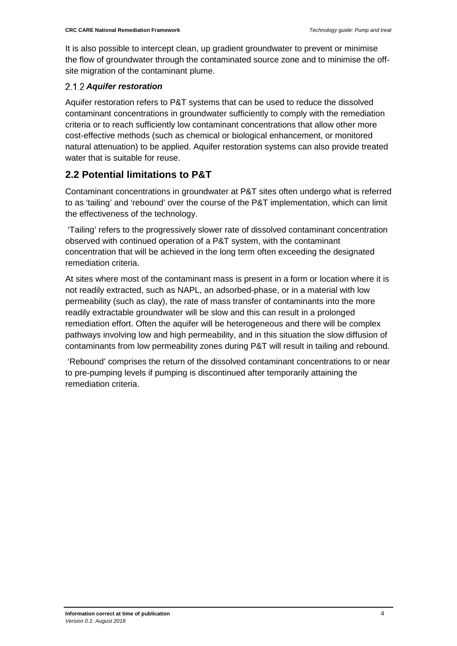It is also possible to intercept clean, up gradient groundwater to prevent or minimise the flow of groundwater through the contaminated source zone and to minimise the offsite migration of the contaminant plume.

#### <span id="page-12-0"></span>*Aquifer restoration*

Aquifer restoration refers to P&T systems that can be used to reduce the dissolved contaminant concentrations in groundwater sufficiently to comply with the remediation criteria or to reach sufficiently low contaminant concentrations that allow other more cost-effective methods (such as chemical or biological enhancement, or monitored natural attenuation) to be applied. Aquifer restoration systems can also provide treated water that is suitable for reuse.

#### <span id="page-12-1"></span>**2.2 Potential limitations to P&T**

Contaminant concentrations in groundwater at P&T sites often undergo what is referred to as 'tailing' and 'rebound' over the course of the P&T implementation, which can limit the effectiveness of the technology.

'Tailing' refers to the progressively slower rate of dissolved contaminant concentration observed with continued operation of a P&T system, with the contaminant concentration that will be achieved in the long term often exceeding the designated remediation criteria.

At sites where most of the contaminant mass is present in a form or location where it is not readily extracted, such as NAPL, an adsorbed-phase, or in a material with low permeability (such as clay), the rate of mass transfer of contaminants into the more readily extractable groundwater will be slow and this can result in a prolonged remediation effort. Often the aquifer will be heterogeneous and there will be complex pathways involving low and high permeability, and in this situation the slow diffusion of contaminants from low permeability zones during P&T will result in tailing and rebound.

'Rebound' comprises the return of the dissolved contaminant concentrations to or near to pre-pumping levels if pumping is discontinued after temporarily attaining the remediation criteria.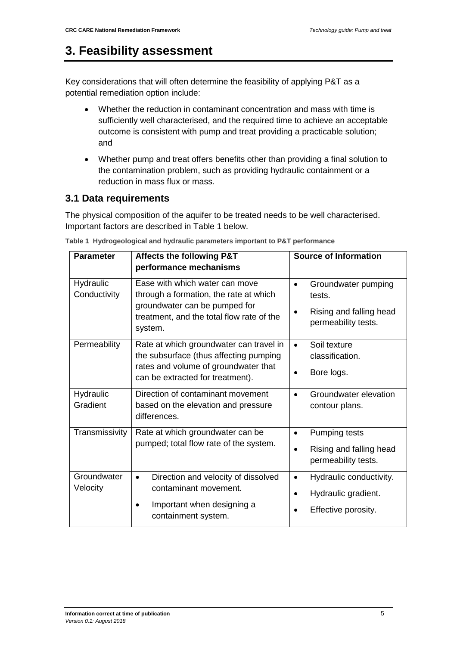### <span id="page-13-0"></span>**3. Feasibility assessment**

Key considerations that will often determine the feasibility of applying P&T as a potential remediation option include:

- Whether the reduction in contaminant concentration and mass with time is sufficiently well characterised, and the required time to achieve an acceptable outcome is consistent with pump and treat providing a practicable solution; and
- Whether pump and treat offers benefits other than providing a final solution to the contamination problem, such as providing hydraulic containment or a reduction in mass flux or mass.

#### <span id="page-13-1"></span>**3.1 Data requirements**

The physical composition of the aquifer to be treated needs to be well characterised. Important factors are described in Table 1 below.

| <b>Parameter</b>          | <b>Affects the following P&amp;T</b><br>performance mechanisms                                                                                                    | <b>Source of Information</b>                                                                    |
|---------------------------|-------------------------------------------------------------------------------------------------------------------------------------------------------------------|-------------------------------------------------------------------------------------------------|
| Hydraulic<br>Conductivity | Ease with which water can move<br>through a formation, the rate at which<br>groundwater can be pumped for<br>treatment, and the total flow rate of the<br>system. | Groundwater pumping<br>$\bullet$<br>tests.<br>Rising and falling head<br>permeability tests.    |
| Permeability              | Rate at which groundwater can travel in<br>the subsurface (thus affecting pumping<br>rates and volume of groundwater that<br>can be extracted for treatment).     | Soil texture<br>$\bullet$<br>classification.<br>Bore logs.                                      |
| Hydraulic<br>Gradient     | Direction of contaminant movement<br>based on the elevation and pressure<br>differences.                                                                          | Groundwater elevation<br>contour plans.                                                         |
| Transmissivity            | Rate at which groundwater can be<br>pumped; total flow rate of the system.                                                                                        | Pumping tests<br>$\bullet$<br>Rising and falling head<br>permeability tests.                    |
| Groundwater<br>Velocity   | Direction and velocity of dissolved<br>$\bullet$<br>contaminant movement.<br>Important when designing a<br>containment system.                                    | Hydraulic conductivity.<br>$\bullet$<br>Hydraulic gradient.<br>$\bullet$<br>Effective porosity. |

**Table 1 Hydrogeological and hydraulic parameters important to P&T performance**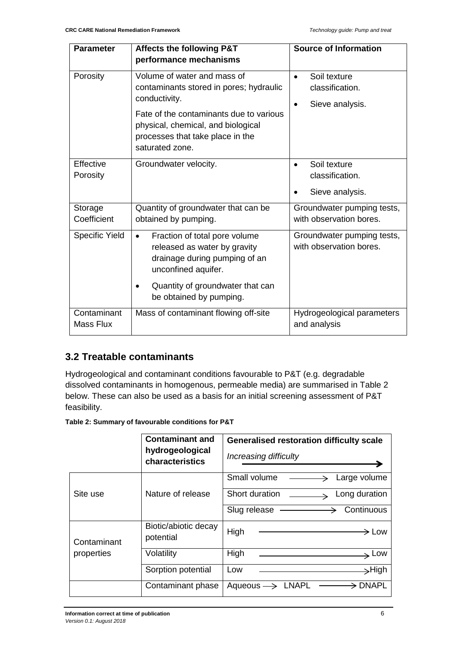| <b>Parameter</b>                | <b>Affects the following P&amp;T</b>                                                                                                                                                                         | <b>Source of Information</b>                                         |
|---------------------------------|--------------------------------------------------------------------------------------------------------------------------------------------------------------------------------------------------------------|----------------------------------------------------------------------|
|                                 | performance mechanisms                                                                                                                                                                                       |                                                                      |
| Porosity                        | Volume of water and mass of<br>contaminants stored in pores; hydraulic<br>conductivity.<br>Fate of the contaminants due to various<br>physical, chemical, and biological<br>processes that take place in the | Soil texture<br>$\bullet$<br>classification.<br>Sieve analysis.<br>٠ |
|                                 | saturated zone.                                                                                                                                                                                              |                                                                      |
| Effective<br>Porosity           | Groundwater velocity.                                                                                                                                                                                        | Soil texture<br>classification.                                      |
|                                 |                                                                                                                                                                                                              | Sieve analysis.                                                      |
| Storage<br>Coefficient          | Quantity of groundwater that can be                                                                                                                                                                          | Groundwater pumping tests,<br>with observation bores.                |
|                                 | obtained by pumping.                                                                                                                                                                                         |                                                                      |
| <b>Specific Yield</b>           | Fraction of total pore volume<br>$\bullet$<br>released as water by gravity<br>drainage during pumping of an<br>unconfined aquifer.                                                                           | Groundwater pumping tests,<br>with observation bores.                |
|                                 | Quantity of groundwater that can<br>be obtained by pumping.                                                                                                                                                  |                                                                      |
| Contaminant<br><b>Mass Flux</b> | Mass of contaminant flowing off-site                                                                                                                                                                         | Hydrogeological parameters<br>and analysis                           |

#### <span id="page-14-0"></span>**3.2 Treatable contaminants**

Hydrogeological and contaminant conditions favourable to P&T (e.g. degradable dissolved contaminants in homogenous, permeable media) are summarised in Table 2 below. These can also be used as a basis for an initial screening assessment of P&T feasibility.

**Table 2: Summary of favourable conditions for P&T**

|                           | <b>Contaminant and</b><br>hydrogeological<br>characteristics | <b>Generalised restoration difficulty scale</b><br>Increasing difficulty                  |
|---------------------------|--------------------------------------------------------------|-------------------------------------------------------------------------------------------|
| Site use                  |                                                              | Small volume -----------<br>Large volume<br>$\rightarrow$                                 |
|                           | Nature of release                                            | Short duration ______<br>Long duration<br>$\overline{\phantom{0}}$                        |
|                           |                                                              | Slug release —<br>→ Continuous                                                            |
| Contaminant<br>properties | Biotic/abiotic decay<br>potential                            | High<br>$\Rightarrow$ Low                                                                 |
|                           | Volatility                                                   | High<br>Low<br>the control of the control of the control of the control of the control of |
|                           | Sorption potential                                           | →High<br>Low                                                                              |
|                           | Contaminant phase                                            | $\Rightarrow$ DNAPL<br>Aqueous $\rightarrow$ LNAPL                                        |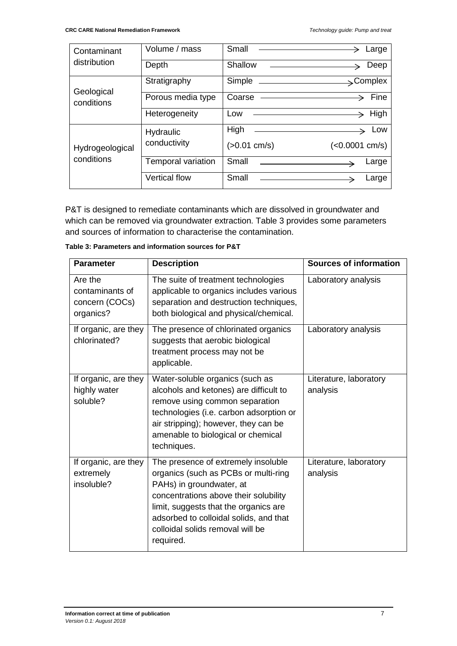| Contaminant<br>distribution   | Volume / mass        | Small                                                                                                                         | Large                 |
|-------------------------------|----------------------|-------------------------------------------------------------------------------------------------------------------------------|-----------------------|
|                               | Depth                | Shallow<br>the control of the control of the control of the control of                                                        | Deep                  |
| Geological<br>conditions      | Stratigraphy         | Simple<br><u> 1980 - Andrea Andrew Maria (h. 1980).</u>                                                                       | $\rightarrow$ Complex |
|                               | Porous media type    | Coarse - The Coarse                                                                                                           | Fine                  |
|                               | Heterogeneity        | Low<br><u> 1989 - Johann Stoff, deutscher Stoffen und der Stoffen und der Stoffen und der Stoffen und der Stoffen und der</u> | High                  |
| Hydrogeological<br>conditions | Hydraulic            | High                                                                                                                          | Low                   |
|                               | conductivity         | $(>0.01$ cm/s)                                                                                                                | $(<0.0001$ cm/s)      |
|                               | Temporal variation   | Small                                                                                                                         | Large                 |
|                               | <b>Vertical flow</b> | Small                                                                                                                         | Large                 |

P&T is designed to remediate contaminants which are dissolved in groundwater and which can be removed via groundwater extraction. Table 3 provides some parameters and sources of information to characterise the contamination.

| <b>Parameter</b>                                          | <b>Description</b>                                                                                                                                                                                                                                                                   | <b>Sources of information</b>      |
|-----------------------------------------------------------|--------------------------------------------------------------------------------------------------------------------------------------------------------------------------------------------------------------------------------------------------------------------------------------|------------------------------------|
| Are the<br>contaminants of<br>concern (COCs)<br>organics? | The suite of treatment technologies<br>applicable to organics includes various<br>separation and destruction techniques,<br>both biological and physical/chemical.                                                                                                                   | Laboratory analysis                |
| If organic, are they<br>chlorinated?                      | The presence of chlorinated organics<br>suggests that aerobic biological<br>treatment process may not be<br>applicable.                                                                                                                                                              | Laboratory analysis                |
| If organic, are they<br>highly water<br>soluble?          | Water-soluble organics (such as<br>alcohols and ketones) are difficult to<br>remove using common separation<br>technologies (i.e. carbon adsorption or<br>air stripping); however, they can be<br>amenable to biological or chemical<br>techniques.                                  | Literature, laboratory<br>analysis |
| If organic, are they<br>extremely<br>insoluble?           | The presence of extremely insoluble<br>organics (such as PCBs or multi-ring<br>PAHs) in groundwater, at<br>concentrations above their solubility<br>limit, suggests that the organics are<br>adsorbed to colloidal solids, and that<br>colloidal solids removal will be<br>required. | Literature, laboratory<br>analysis |

**Table 3: Parameters and information sources for P&T**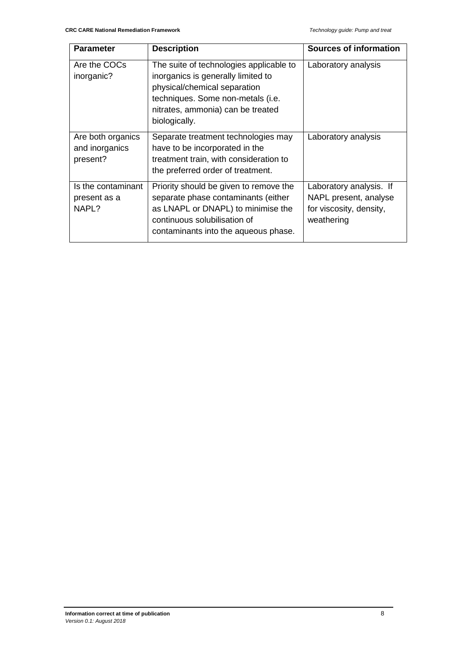| <b>Parameter</b>                                | <b>Description</b>                                                                                                                                                                                       | <b>Sources of information</b>                                                             |
|-------------------------------------------------|----------------------------------------------------------------------------------------------------------------------------------------------------------------------------------------------------------|-------------------------------------------------------------------------------------------|
| Are the COCs<br>inorganic?                      | The suite of technologies applicable to<br>inorganics is generally limited to<br>physical/chemical separation<br>techniques. Some non-metals (i.e.<br>nitrates, ammonia) can be treated<br>biologically. | Laboratory analysis                                                                       |
| Are both organics<br>and inorganics<br>present? | Separate treatment technologies may<br>have to be incorporated in the<br>treatment train, with consideration to<br>the preferred order of treatment.                                                     | Laboratory analysis                                                                       |
| Is the contaminant<br>present as a<br>NAPL?     | Priority should be given to remove the<br>separate phase contaminants (either<br>as LNAPL or DNAPL) to minimise the<br>continuous solubilisation of<br>contaminants into the aqueous phase.              | Laboratory analysis. If<br>NAPL present, analyse<br>for viscosity, density,<br>weathering |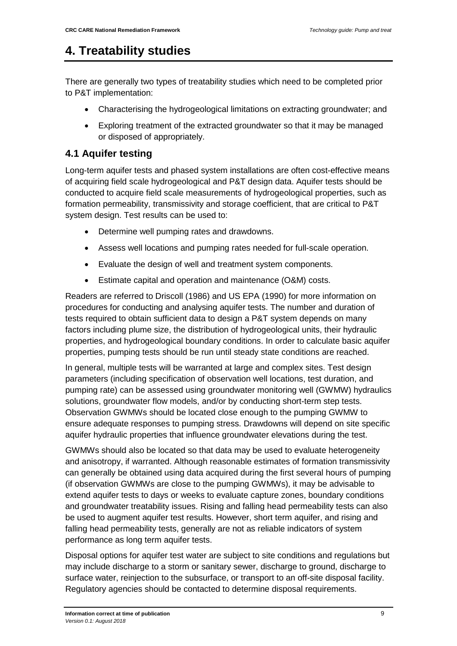### <span id="page-17-0"></span>**4. Treatability studies**

There are generally two types of treatability studies which need to be completed prior to P&T implementation:

- Characterising the hydrogeological limitations on extracting groundwater; and
- Exploring treatment of the extracted groundwater so that it may be managed or disposed of appropriately.

#### <span id="page-17-1"></span>**4.1 Aquifer testing**

Long-term aquifer tests and phased system installations are often cost-effective means of acquiring field scale hydrogeological and P&T design data. Aquifer tests should be conducted to acquire field scale measurements of hydrogeological properties, such as formation permeability, transmissivity and storage coefficient, that are critical to P&T system design. Test results can be used to:

- Determine well pumping rates and drawdowns.
- Assess well locations and pumping rates needed for full-scale operation.
- Evaluate the design of well and treatment system components.
- Estimate capital and operation and maintenance (O&M) costs.

Readers are referred to Driscoll (1986) and US EPA (1990) for more information on procedures for conducting and analysing aquifer tests. The number and duration of tests required to obtain sufficient data to design a P&T system depends on many factors including plume size, the distribution of hydrogeological units, their hydraulic properties, and hydrogeological boundary conditions. In order to calculate basic aquifer properties, pumping tests should be run until steady state conditions are reached.

In general, multiple tests will be warranted at large and complex sites. Test design parameters (including specification of observation well locations, test duration, and pumping rate) can be assessed using groundwater monitoring well (GWMW) hydraulics solutions, groundwater flow models, and/or by conducting short-term step tests. Observation GWMWs should be located close enough to the pumping GWMW to ensure adequate responses to pumping stress. Drawdowns will depend on site specific aquifer hydraulic properties that influence groundwater elevations during the test.

GWMWs should also be located so that data may be used to evaluate heterogeneity and anisotropy, if warranted. Although reasonable estimates of formation transmissivity can generally be obtained using data acquired during the first several hours of pumping (if observation GWMWs are close to the pumping GWMWs), it may be advisable to extend aquifer tests to days or weeks to evaluate capture zones, boundary conditions and groundwater treatability issues. Rising and falling head permeability tests can also be used to augment aquifer test results. However, short term aquifer, and rising and falling head permeability tests, generally are not as reliable indicators of system performance as long term aquifer tests.

Disposal options for aquifer test water are subject to site conditions and regulations but may include discharge to a storm or sanitary sewer, discharge to ground, discharge to surface water, reinjection to the subsurface, or transport to an off-site disposal facility. Regulatory agencies should be contacted to determine disposal requirements.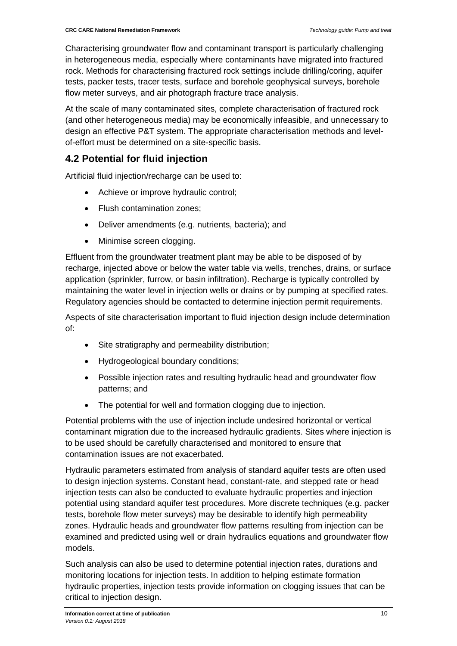Characterising groundwater flow and contaminant transport is particularly challenging in heterogeneous media, especially where contaminants have migrated into fractured rock. Methods for characterising fractured rock settings include drilling/coring, aquifer tests, packer tests, tracer tests, surface and borehole geophysical surveys, borehole flow meter surveys, and air photograph fracture trace analysis.

At the scale of many contaminated sites, complete characterisation of fractured rock (and other heterogeneous media) may be economically infeasible, and unnecessary to design an effective P&T system. The appropriate characterisation methods and levelof-effort must be determined on a site-specific basis.

#### <span id="page-18-0"></span>**4.2 Potential for fluid injection**

Artificial fluid injection/recharge can be used to:

- Achieve or improve hydraulic control;
- Flush contamination zones;
- Deliver amendments (e.g. nutrients, bacteria); and
- Minimise screen clogging.

Effluent from the groundwater treatment plant may be able to be disposed of by recharge, injected above or below the water table via wells, trenches, drains, or surface application (sprinkler, furrow, or basin infiltration). Recharge is typically controlled by maintaining the water level in injection wells or drains or by pumping at specified rates. Regulatory agencies should be contacted to determine injection permit requirements.

Aspects of site characterisation important to fluid injection design include determination of:

- Site stratigraphy and permeability distribution;
- Hydrogeological boundary conditions;
- Possible injection rates and resulting hydraulic head and groundwater flow patterns; and
- The potential for well and formation clogging due to injection.

Potential problems with the use of injection include undesired horizontal or vertical contaminant migration due to the increased hydraulic gradients. Sites where injection is to be used should be carefully characterised and monitored to ensure that contamination issues are not exacerbated.

Hydraulic parameters estimated from analysis of standard aquifer tests are often used to design injection systems. Constant head, constant-rate, and stepped rate or head injection tests can also be conducted to evaluate hydraulic properties and injection potential using standard aquifer test procedures. More discrete techniques (e.g. packer tests, borehole flow meter surveys) may be desirable to identify high permeability zones. Hydraulic heads and groundwater flow patterns resulting from injection can be examined and predicted using well or drain hydraulics equations and groundwater flow models.

Such analysis can also be used to determine potential injection rates, durations and monitoring locations for injection tests. In addition to helping estimate formation hydraulic properties, injection tests provide information on clogging issues that can be critical to injection design.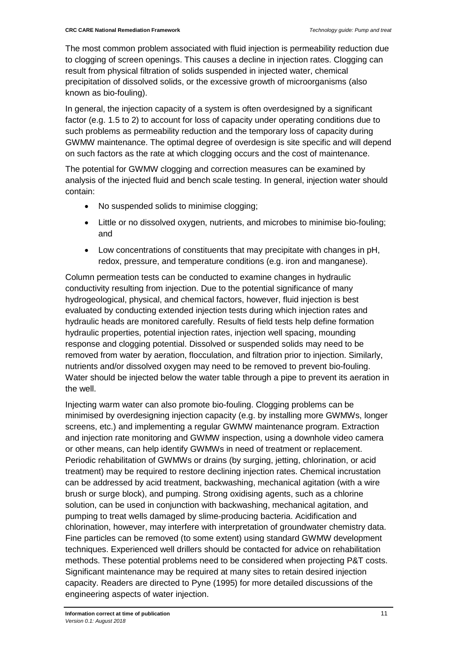The most common problem associated with fluid injection is permeability reduction due to clogging of screen openings. This causes a decline in injection rates. Clogging can result from physical filtration of solids suspended in injected water, chemical precipitation of dissolved solids, or the excessive growth of microorganisms (also known as bio-fouling).

In general, the injection capacity of a system is often overdesigned by a significant factor (e.g. 1.5 to 2) to account for loss of capacity under operating conditions due to such problems as permeability reduction and the temporary loss of capacity during GWMW maintenance. The optimal degree of overdesign is site specific and will depend on such factors as the rate at which clogging occurs and the cost of maintenance.

The potential for GWMW clogging and correction measures can be examined by analysis of the injected fluid and bench scale testing. In general, injection water should contain:

- No suspended solids to minimise clogging;
- Little or no dissolved oxygen, nutrients, and microbes to minimise bio-fouling; and
- Low concentrations of constituents that may precipitate with changes in pH, redox, pressure, and temperature conditions (e.g. iron and manganese).

Column permeation tests can be conducted to examine changes in hydraulic conductivity resulting from injection. Due to the potential significance of many hydrogeological, physical, and chemical factors, however, fluid injection is best evaluated by conducting extended injection tests during which injection rates and hydraulic heads are monitored carefully. Results of field tests help define formation hydraulic properties, potential injection rates, injection well spacing, mounding response and clogging potential. Dissolved or suspended solids may need to be removed from water by aeration, flocculation, and filtration prior to injection. Similarly, nutrients and/or dissolved oxygen may need to be removed to prevent bio-fouling. Water should be injected below the water table through a pipe to prevent its aeration in the well.

Injecting warm water can also promote bio-fouling. Clogging problems can be minimised by overdesigning injection capacity (e.g. by installing more GWMWs, longer screens, etc.) and implementing a regular GWMW maintenance program. Extraction and injection rate monitoring and GWMW inspection, using a downhole video camera or other means, can help identify GWMWs in need of treatment or replacement. Periodic rehabilitation of GWMWs or drains (by surging, jetting, chlorination, or acid treatment) may be required to restore declining injection rates. Chemical incrustation can be addressed by acid treatment, backwashing, mechanical agitation (with a wire brush or surge block), and pumping. Strong oxidising agents, such as a chlorine solution, can be used in conjunction with backwashing, mechanical agitation, and pumping to treat wells damaged by slime-producing bacteria. Acidification and chlorination, however, may interfere with interpretation of groundwater chemistry data. Fine particles can be removed (to some extent) using standard GWMW development techniques. Experienced well drillers should be contacted for advice on rehabilitation methods. These potential problems need to be considered when projecting P&T costs. Significant maintenance may be required at many sites to retain desired injection capacity. Readers are directed to Pyne (1995) for more detailed discussions of the engineering aspects of water injection.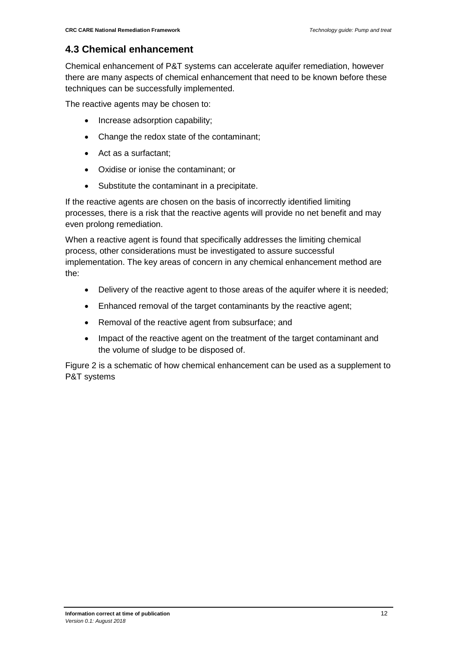#### <span id="page-20-0"></span>**4.3 Chemical enhancement**

Chemical enhancement of P&T systems can accelerate aquifer remediation, however there are many aspects of chemical enhancement that need to be known before these techniques can be successfully implemented.

The reactive agents may be chosen to:

- Increase adsorption capability;
- Change the redox state of the contaminant;
- Act as a surfactant;
- Oxidise or ionise the contaminant; or
- Substitute the contaminant in a precipitate.

If the reactive agents are chosen on the basis of incorrectly identified limiting processes, there is a risk that the reactive agents will provide no net benefit and may even prolong remediation.

When a reactive agent is found that specifically addresses the limiting chemical process, other considerations must be investigated to assure successful implementation. The key areas of concern in any chemical enhancement method are the:

- Delivery of the reactive agent to those areas of the aquifer where it is needed;
- Enhanced removal of the target contaminants by the reactive agent;
- Removal of the reactive agent from subsurface; and
- Impact of the reactive agent on the treatment of the target contaminant and the volume of sludge to be disposed of.

Figure 2 is a schematic of how chemical enhancement can be used as a supplement to P&T systems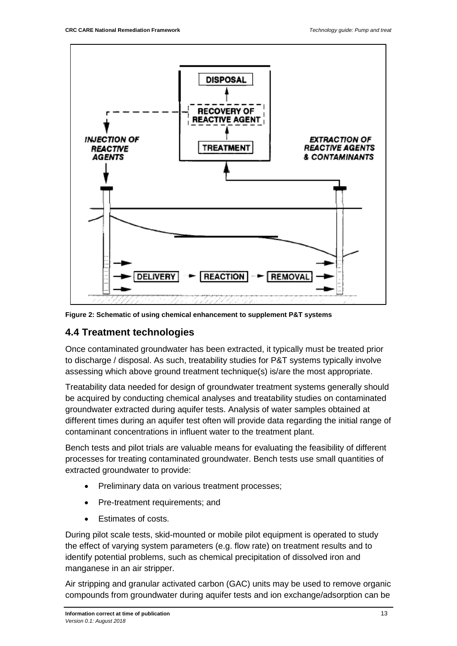

**Figure 2: Schematic of using chemical enhancement to supplement P&T systems**

#### <span id="page-21-0"></span>**4.4 Treatment technologies**

Once contaminated groundwater has been extracted, it typically must be treated prior to discharge / disposal. As such, treatability studies for P&T systems typically involve assessing which above ground treatment technique(s) is/are the most appropriate.

Treatability data needed for design of groundwater treatment systems generally should be acquired by conducting chemical analyses and treatability studies on contaminated groundwater extracted during aquifer tests. Analysis of water samples obtained at different times during an aquifer test often will provide data regarding the initial range of contaminant concentrations in influent water to the treatment plant.

Bench tests and pilot trials are valuable means for evaluating the feasibility of different processes for treating contaminated groundwater. Bench tests use small quantities of extracted groundwater to provide:

- Preliminary data on various treatment processes;
- Pre-treatment requirements; and
- Estimates of costs.

During pilot scale tests, skid-mounted or mobile pilot equipment is operated to study the effect of varying system parameters (e.g. flow rate) on treatment results and to identify potential problems, such as chemical precipitation of dissolved iron and manganese in an air stripper.

Air stripping and granular activated carbon (GAC) units may be used to remove organic compounds from groundwater during aquifer tests and ion exchange/adsorption can be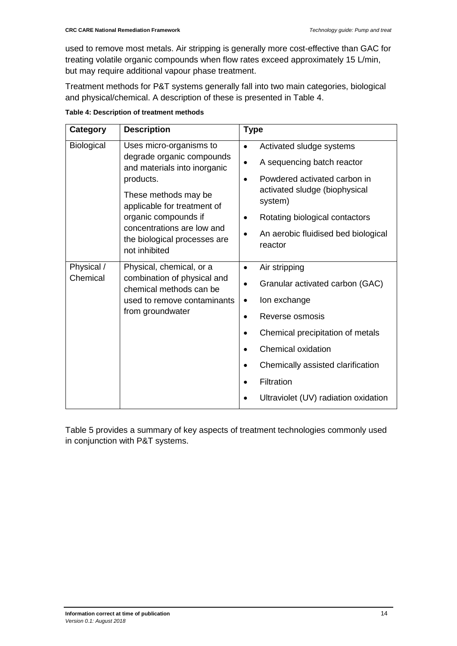used to remove most metals. Air stripping is generally more cost-effective than GAC for treating volatile organic compounds when flow rates exceed approximately 15 L/min, but may require additional vapour phase treatment.

Treatment methods for P&T systems generally fall into two main categories, biological and physical/chemical. A description of these is presented in Table 4.

| Category               | <b>Description</b>                                                                                                                                                                                                                                              | <b>Type</b>                                                                                                                                                                                                                                                                                                                        |
|------------------------|-----------------------------------------------------------------------------------------------------------------------------------------------------------------------------------------------------------------------------------------------------------------|------------------------------------------------------------------------------------------------------------------------------------------------------------------------------------------------------------------------------------------------------------------------------------------------------------------------------------|
| <b>Biological</b>      | Uses micro-organisms to<br>degrade organic compounds<br>and materials into inorganic<br>products.<br>These methods may be<br>applicable for treatment of<br>organic compounds if<br>concentrations are low and<br>the biological processes are<br>not inhibited | Activated sludge systems<br>$\bullet$<br>A sequencing batch reactor<br>$\bullet$<br>Powdered activated carbon in<br>$\bullet$<br>activated sludge (biophysical<br>system)<br>Rotating biological contactors<br>An aerobic fluidised bed biological<br>reactor                                                                      |
| Physical /<br>Chemical | Physical, chemical, or a<br>combination of physical and<br>chemical methods can be<br>used to remove contaminants<br>from groundwater                                                                                                                           | Air stripping<br>$\bullet$<br>Granular activated carbon (GAC)<br>٠<br>Ion exchange<br>$\bullet$<br>Reverse osmosis<br>$\bullet$<br>Chemical precipitation of metals<br>$\bullet$<br><b>Chemical oxidation</b><br>$\bullet$<br>Chemically assisted clarification<br>$\bullet$<br>Filtration<br>Ultraviolet (UV) radiation oxidation |

**Table 4: Description of treatment methods**

Table 5 provides a summary of key aspects of treatment technologies commonly used in conjunction with P&T systems.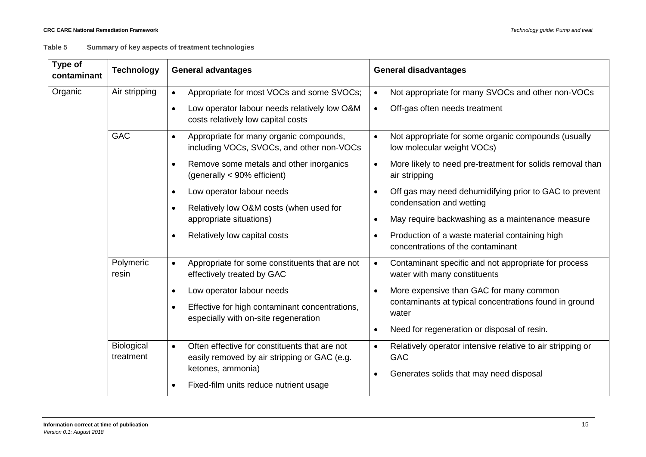#### **Table 5 Summary of key aspects of treatment technologies**

| Type of<br>contaminant | <b>Technology</b>       | <b>General advantages</b>                                                                                  | <b>General disadvantages</b>                                                                                   |  |  |  |
|------------------------|-------------------------|------------------------------------------------------------------------------------------------------------|----------------------------------------------------------------------------------------------------------------|--|--|--|
| Organic                | Air stripping           | Appropriate for most VOCs and some SVOCs;                                                                  | Not appropriate for many SVOCs and other non-VOCs<br>$\bullet$                                                 |  |  |  |
|                        |                         | Low operator labour needs relatively low O&M<br>$\bullet$<br>costs relatively low capital costs            | Off-gas often needs treatment<br>$\bullet$                                                                     |  |  |  |
|                        | <b>GAC</b>              | Appropriate for many organic compounds,<br>including VOCs, SVOCs, and other non-VOCs                       | Not appropriate for some organic compounds (usually<br>$\bullet$<br>low molecular weight VOCs)                 |  |  |  |
|                        |                         | Remove some metals and other inorganics<br>(generally < 90% efficient)                                     | More likely to need pre-treatment for solids removal than<br>$\bullet$<br>air stripping                        |  |  |  |
|                        |                         | Low operator labour needs<br>$\bullet$                                                                     | Off gas may need dehumidifying prior to GAC to prevent<br>$\bullet$<br>condensation and wetting                |  |  |  |
|                        |                         | Relatively low O&M costs (when used for<br>appropriate situations)                                         | May require backwashing as a maintenance measure<br>$\bullet$                                                  |  |  |  |
|                        |                         | Relatively low capital costs                                                                               | Production of a waste material containing high<br>concentrations of the contaminant                            |  |  |  |
|                        | Polymeric<br>resin      | Appropriate for some constituents that are not<br>$\bullet$<br>effectively treated by GAC                  | Contaminant specific and not appropriate for process<br>$\bullet$<br>water with many constituents              |  |  |  |
|                        |                         | Low operator labour needs                                                                                  | More expensive than GAC for many common<br>$\bullet$<br>contaminants at typical concentrations found in ground |  |  |  |
|                        |                         | Effective for high contaminant concentrations,<br>especially with on-site regeneration                     | water                                                                                                          |  |  |  |
|                        |                         |                                                                                                            | Need for regeneration or disposal of resin.                                                                    |  |  |  |
|                        | Biological<br>treatment | Often effective for constituents that are not<br>$\bullet$<br>easily removed by air stripping or GAC (e.g. | Relatively operator intensive relative to air stripping or<br>$\bullet$<br><b>GAC</b>                          |  |  |  |
|                        |                         | ketones, ammonia)<br>Fixed-film units reduce nutrient usage                                                | Generates solids that may need disposal                                                                        |  |  |  |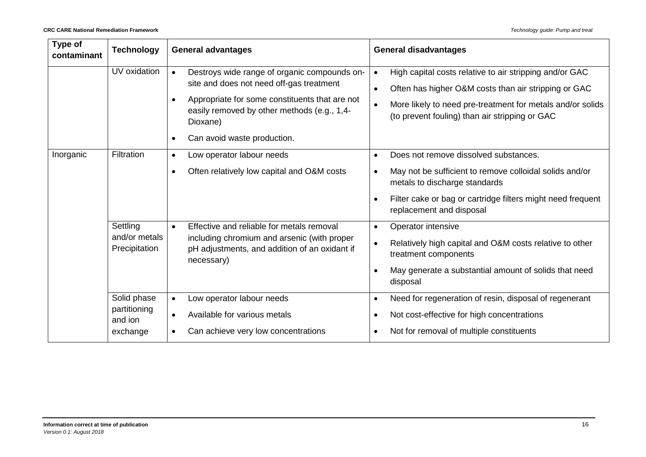| Type of<br>contaminant | <b>Technology</b>                                  | <b>General advantages</b>                                                                                                                                                                                                                         | <b>General disadvantages</b>                                                                                                                                                                                                                                           |  |  |
|------------------------|----------------------------------------------------|---------------------------------------------------------------------------------------------------------------------------------------------------------------------------------------------------------------------------------------------------|------------------------------------------------------------------------------------------------------------------------------------------------------------------------------------------------------------------------------------------------------------------------|--|--|
|                        | UV oxidation                                       | Destroys wide range of organic compounds on-<br>site and does not need off-gas treatment<br>Appropriate for some constituents that are not<br>easily removed by other methods (e.g., 1,4-<br>Dioxane)<br>Can avoid waste production.<br>$\bullet$ | High capital costs relative to air stripping and/or GAC<br>$\bullet$<br>Often has higher O&M costs than air stripping or GAC<br>$\bullet$<br>More likely to need pre-treatment for metals and/or solids<br>$\bullet$<br>(to prevent fouling) than air stripping or GAC |  |  |
| Inorganic              | Filtration                                         | Low operator labour needs<br>$\bullet$<br>Often relatively low capital and O&M costs<br>$\bullet$                                                                                                                                                 | Does not remove dissolved substances.<br>$\bullet$<br>May not be sufficient to remove colloidal solids and/or<br>$\bullet$<br>metals to discharge standards<br>Filter cake or bag or cartridge filters might need frequent<br>$\bullet$<br>replacement and disposal    |  |  |
|                        | Settling<br>and/or metals<br>Precipitation         | Effective and reliable for metals removal<br>$\bullet$<br>including chromium and arsenic (with proper<br>pH adjustments, and addition of an oxidant if<br>necessary)                                                                              | Operator intensive<br>$\bullet$<br>Relatively high capital and O&M costs relative to other<br>$\bullet$<br>treatment components<br>May generate a substantial amount of solids that need<br>$\bullet$<br>disposal                                                      |  |  |
|                        | Solid phase<br>partitioning<br>and ion<br>exchange | Low operator labour needs<br>$\bullet$<br>Available for various metals<br>$\bullet$<br>Can achieve very low concentrations                                                                                                                        | Need for regeneration of resin, disposal of regenerant<br>$\bullet$<br>Not cost-effective for high concentrations<br>$\bullet$<br>Not for removal of multiple constituents<br>$\bullet$                                                                                |  |  |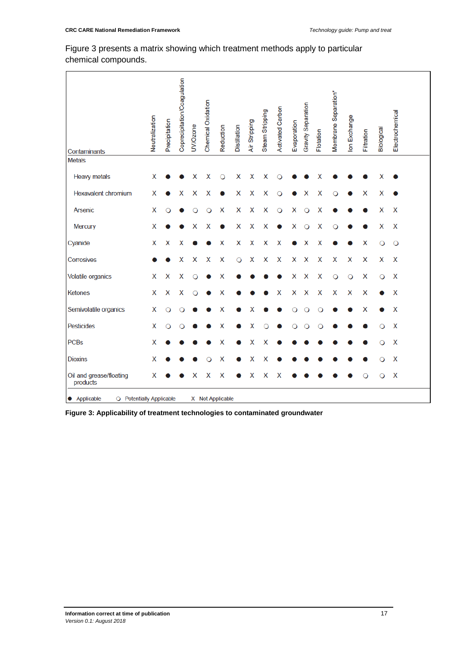#### Figure 3 presents a matrix showing which treatment methods apply to particular chemical compounds.

| Contaminants                             | Neutralization | Precipitation | Coprecipitation/Coagulation | UV/Ozone | Chemical Oxidation | Reduction        | Distillation | Air Stripping | Steam Stripping | <b>Activated Carbon</b> | Evaporation | Gravity Separation | Flotation | Membrane Separation* | Ion Exchange | Filtration | Biological | Electrochemical |  |
|------------------------------------------|----------------|---------------|-----------------------------|----------|--------------------|------------------|--------------|---------------|-----------------|-------------------------|-------------|--------------------|-----------|----------------------|--------------|------------|------------|-----------------|--|
| <b>Metals</b>                            |                |               |                             |          |                    |                  |              |               |                 |                         |             |                    |           |                      |              |            |            |                 |  |
| <b>Heavy metals</b>                      | x              |               |                             | х        | x                  | $\circ$          | X            | X             | x               |                         |             |                    | x         |                      |              |            | x          |                 |  |
| <b>Hexavalent chromium</b>               | X              |               | х                           | Х        | x                  |                  | X            | Χ             | X               | Ω                       |             |                    | Χ         | О                    |              | X          | х          |                 |  |
| Arsenic                                  | X              |               |                             |          |                    | X                | X            | X             | X               | $\circ$                 | Χ           |                    | X         |                      |              |            | X          | X               |  |
| Mercury                                  | х              |               |                             | х        | х                  |                  | x            | Χ             | X               |                         | Х           | Ο                  | Х         | Ω                    |              |            | x          | х               |  |
| Cyanide                                  | X              | X             | x                           |          |                    | X                | Χ            | Χ             | Χ               | X                       |             | x                  | Χ         |                      |              | Χ          | O          | $\circ$         |  |
| Corrosives                               |                |               | Χ                           | Χ        | Χ                  | Χ                | $\circ$      | Χ             | Χ               | X                       | X           | X                  | Χ         | X                    | Χ            | Χ          | Χ          | X               |  |
| <b>Volatile organics</b>                 | X              | X             | Χ                           | Ω        |                    | Χ                |              |               |                 |                         | X           | X                  | X         | $\circ$              | $\circ$      | X          | $\circ$    | X               |  |
| <b>Ketones</b>                           | X              | Χ             | Χ                           | O        |                    | Х                |              |               |                 | х                       | X           | X                  | Χ         | X                    | Χ            | X          |            | X               |  |
| Semivolatile organics                    | Χ              | ∩             |                             |          |                    | Χ                |              | х             |                 |                         |             |                    | ∩         |                      |              | Χ          |            | X               |  |
| Pesticides                               | X              |               |                             |          |                    | Χ                |              | Χ             |                 |                         |             |                    | О         |                      |              |            |            | X               |  |
| <b>PCBs</b>                              | X              |               |                             |          |                    | X                |              | x             | x               |                         |             |                    |           |                      |              |            |            | X               |  |
| <b>Dioxins</b>                           | Χ              |               |                             |          |                    | х                |              | X             | Χ               |                         |             |                    |           |                      |              |            |            | X               |  |
| Oil and grease/floating<br>products      | X              |               |                             | x        | X                  | X                |              | X             | X               | X                       |             |                    |           |                      |              |            | O          | X               |  |
| • Applicable<br>O Potentially Applicable |                |               |                             |          |                    | X Not Applicable |              |               |                 |                         |             |                    |           |                      |              |            |            |                 |  |

**Figure 3: Applicability of treatment technologies to contaminated groundwater**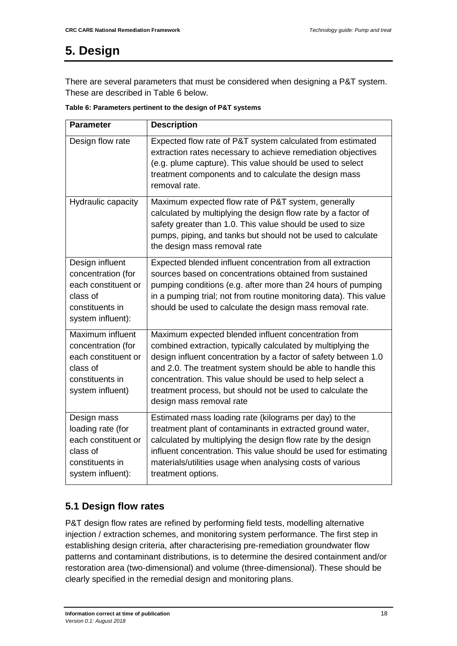# <span id="page-26-0"></span>**5. Design**

There are several parameters that must be considered when designing a P&T system. These are described in Table 6 below.

| Table 6: Parameters pertinent to the design of P&T systems |  |  |  |
|------------------------------------------------------------|--|--|--|
|------------------------------------------------------------|--|--|--|

| <b>Parameter</b>                                                                                                 | <b>Description</b>                                                                                                                                                                                                                                                                                                                                                                                            |
|------------------------------------------------------------------------------------------------------------------|---------------------------------------------------------------------------------------------------------------------------------------------------------------------------------------------------------------------------------------------------------------------------------------------------------------------------------------------------------------------------------------------------------------|
| Design flow rate                                                                                                 | Expected flow rate of P&T system calculated from estimated<br>extraction rates necessary to achieve remediation objectives<br>(e.g. plume capture). This value should be used to select<br>treatment components and to calculate the design mass<br>removal rate.                                                                                                                                             |
| Hydraulic capacity                                                                                               | Maximum expected flow rate of P&T system, generally<br>calculated by multiplying the design flow rate by a factor of<br>safety greater than 1.0. This value should be used to size<br>pumps, piping, and tanks but should not be used to calculate<br>the design mass removal rate                                                                                                                            |
| Design influent<br>concentration (for<br>each constituent or<br>class of<br>constituents in<br>system influent): | Expected blended influent concentration from all extraction<br>sources based on concentrations obtained from sustained<br>pumping conditions (e.g. after more than 24 hours of pumping<br>in a pumping trial; not from routine monitoring data). This value<br>should be used to calculate the design mass removal rate.                                                                                      |
| Maximum influent<br>concentration (for<br>each constituent or<br>class of<br>constituents in<br>system influent) | Maximum expected blended influent concentration from<br>combined extraction, typically calculated by multiplying the<br>design influent concentration by a factor of safety between 1.0<br>and 2.0. The treatment system should be able to handle this<br>concentration. This value should be used to help select a<br>treatment process, but should not be used to calculate the<br>design mass removal rate |
| Design mass<br>loading rate (for<br>each constituent or<br>class of<br>constituents in<br>system influent):      | Estimated mass loading rate (kilograms per day) to the<br>treatment plant of contaminants in extracted ground water,<br>calculated by multiplying the design flow rate by the design<br>influent concentration. This value should be used for estimating<br>materials/utilities usage when analysing costs of various<br>treatment options.                                                                   |

#### <span id="page-26-1"></span>**5.1 Design flow rates**

P&T design flow rates are refined by performing field tests, modelling alternative injection / extraction schemes, and monitoring system performance. The first step in establishing design criteria, after characterising pre-remediation groundwater flow patterns and contaminant distributions, is to determine the desired containment and/or restoration area (two-dimensional) and volume (three-dimensional). These should be clearly specified in the remedial design and monitoring plans.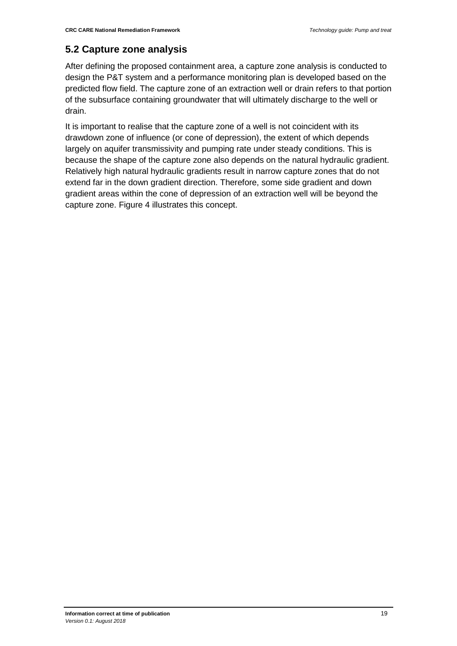#### <span id="page-27-0"></span>**5.2 Capture zone analysis**

After defining the proposed containment area, a capture zone analysis is conducted to design the P&T system and a performance monitoring plan is developed based on the predicted flow field. The capture zone of an extraction well or drain refers to that portion of the subsurface containing groundwater that will ultimately discharge to the well or drain.

It is important to realise that the capture zone of a well is not coincident with its drawdown zone of influence (or cone of depression), the extent of which depends largely on aquifer transmissivity and pumping rate under steady conditions. This is because the shape of the capture zone also depends on the natural hydraulic gradient. Relatively high natural hydraulic gradients result in narrow capture zones that do not extend far in the down gradient direction. Therefore, some side gradient and down gradient areas within the cone of depression of an extraction well will be beyond the capture zone. Figure 4 illustrates this concept.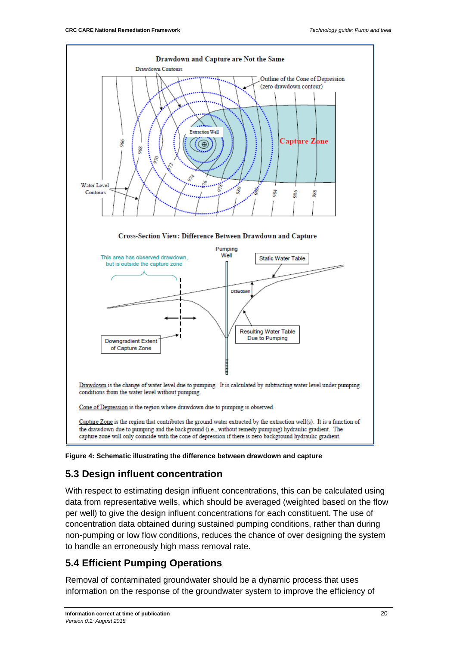

**Figure 4: Schematic illustrating the difference between drawdown and capture**

### <span id="page-28-0"></span>**5.3 Design influent concentration**

With respect to estimating design influent concentrations, this can be calculated using data from representative wells, which should be averaged (weighted based on the flow per well) to give the design influent concentrations for each constituent. The use of concentration data obtained during sustained pumping conditions, rather than during non-pumping or low flow conditions, reduces the chance of over designing the system to handle an erroneously high mass removal rate.

#### <span id="page-28-1"></span>**5.4 Efficient Pumping Operations**

Removal of contaminated groundwater should be a dynamic process that uses information on the response of the groundwater system to improve the efficiency of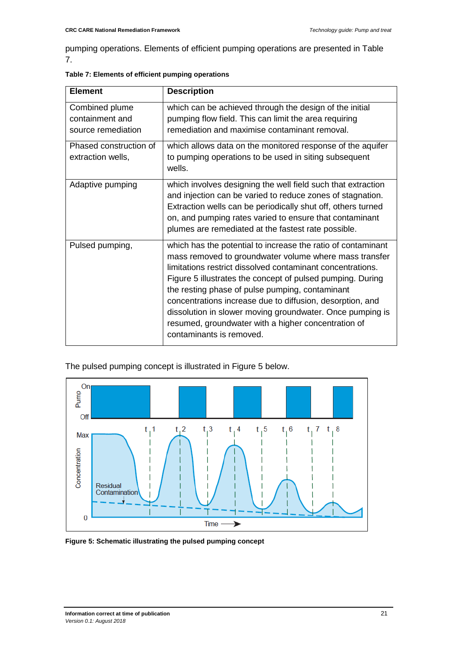pumping operations. Elements of efficient pumping operations are presented in Table 7.

| <b>Element</b>                              | <b>Description</b>                                                                                                                                                                                                                                                                                                                                                                                                                                                                                                 |
|---------------------------------------------|--------------------------------------------------------------------------------------------------------------------------------------------------------------------------------------------------------------------------------------------------------------------------------------------------------------------------------------------------------------------------------------------------------------------------------------------------------------------------------------------------------------------|
| Combined plume<br>containment and           | which can be achieved through the design of the initial<br>pumping flow field. This can limit the area requiring                                                                                                                                                                                                                                                                                                                                                                                                   |
| source remediation                          | remediation and maximise contaminant removal.                                                                                                                                                                                                                                                                                                                                                                                                                                                                      |
| Phased construction of<br>extraction wells, | which allows data on the monitored response of the aquifer<br>to pumping operations to be used in siting subsequent<br>wells.                                                                                                                                                                                                                                                                                                                                                                                      |
| Adaptive pumping                            | which involves designing the well field such that extraction<br>and injection can be varied to reduce zones of stagnation.<br>Extraction wells can be periodically shut off, others turned<br>on, and pumping rates varied to ensure that contaminant<br>plumes are remediated at the fastest rate possible.                                                                                                                                                                                                       |
| Pulsed pumping,                             | which has the potential to increase the ratio of contaminant<br>mass removed to groundwater volume where mass transfer<br>limitations restrict dissolved contaminant concentrations.<br>Figure 5 illustrates the concept of pulsed pumping. During<br>the resting phase of pulse pumping, contaminant<br>concentrations increase due to diffusion, desorption, and<br>dissolution in slower moving groundwater. Once pumping is<br>resumed, groundwater with a higher concentration of<br>contaminants is removed. |

| Table 7: Elements of efficient pumping operations |  |  |
|---------------------------------------------------|--|--|
|                                                   |  |  |

The pulsed pumping concept is illustrated in Figure 5 below.



**Figure 5: Schematic illustrating the pulsed pumping concept**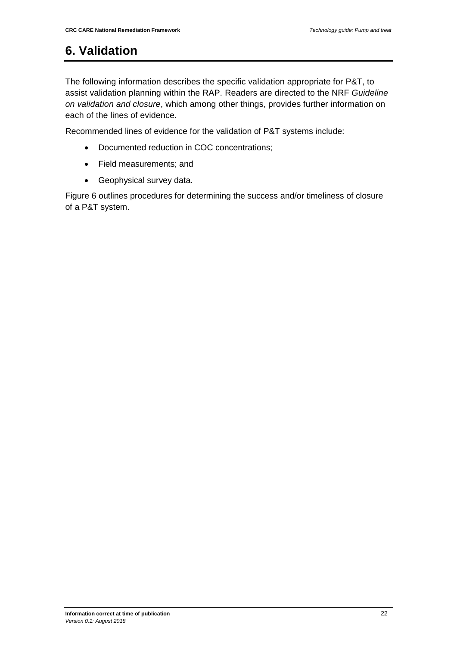# <span id="page-30-0"></span>**6. Validation**

The following information describes the specific validation appropriate for P&T, to assist validation planning within the RAP. Readers are directed to the NRF *Guideline on validation and closure*, which among other things, provides further information on each of the lines of evidence.

Recommended lines of evidence for the validation of P&T systems include:

- Documented reduction in COC concentrations;
- Field measurements; and
- Geophysical survey data.

Figure 6 outlines procedures for determining the success and/or timeliness of closure of a P&T system.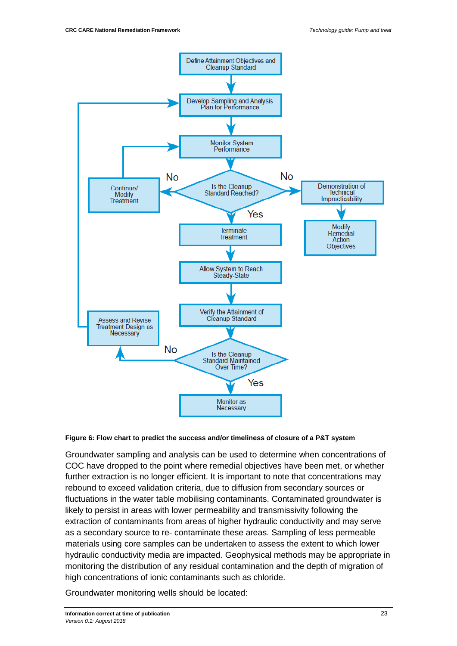

#### **Figure 6: Flow chart to predict the success and/or timeliness of closure of a P&T system**

Groundwater sampling and analysis can be used to determine when concentrations of COC have dropped to the point where remedial objectives have been met, or whether further extraction is no longer efficient. It is important to note that concentrations may rebound to exceed validation criteria, due to diffusion from secondary sources or fluctuations in the water table mobilising contaminants. Contaminated groundwater is likely to persist in areas with lower permeability and transmissivity following the extraction of contaminants from areas of higher hydraulic conductivity and may serve as a secondary source to re- contaminate these areas. Sampling of less permeable materials using core samples can be undertaken to assess the extent to which lower hydraulic conductivity media are impacted. Geophysical methods may be appropriate in monitoring the distribution of any residual contamination and the depth of migration of high concentrations of ionic contaminants such as chloride.

Groundwater monitoring wells should be located: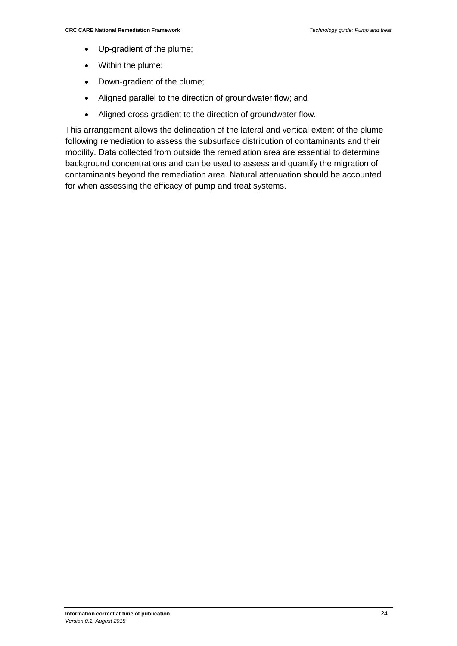- Up-gradient of the plume;
- Within the plume;
- Down-gradient of the plume;
- Aligned parallel to the direction of groundwater flow; and
- Aligned cross-gradient to the direction of groundwater flow.

This arrangement allows the delineation of the lateral and vertical extent of the plume following remediation to assess the subsurface distribution of contaminants and their mobility. Data collected from outside the remediation area are essential to determine background concentrations and can be used to assess and quantify the migration of contaminants beyond the remediation area. Natural attenuation should be accounted for when assessing the efficacy of pump and treat systems.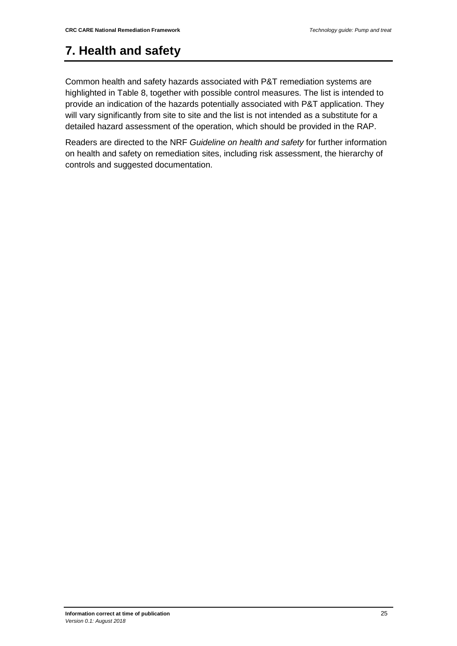# <span id="page-33-0"></span>**7. Health and safety**

Common health and safety hazards associated with P&T remediation systems are highlighted in Table 8, together with possible control measures. The list is intended to provide an indication of the hazards potentially associated with P&T application. They will vary significantly from site to site and the list is not intended as a substitute for a detailed hazard assessment of the operation, which should be provided in the RAP.

Readers are directed to the NRF *Guideline on health and safety* for further information on health and safety on remediation sites, including risk assessment, the hierarchy of controls and suggested documentation.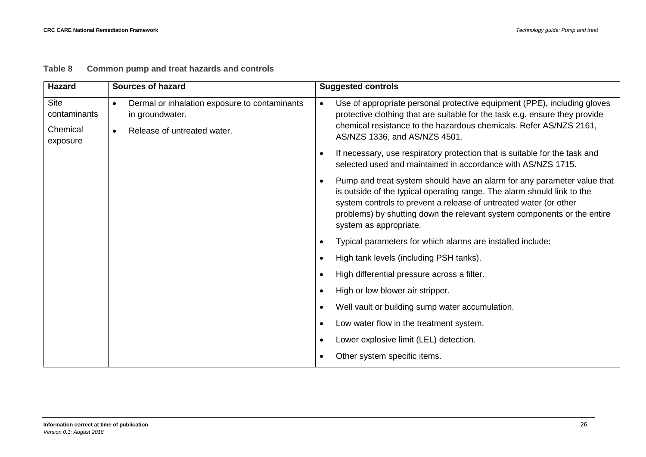| <b>Hazard</b>                                       | <b>Sources of hazard</b>                                                                                                  | <b>Suggested controls</b>                                                                                                                                                                                                                                                                                                    |
|-----------------------------------------------------|---------------------------------------------------------------------------------------------------------------------------|------------------------------------------------------------------------------------------------------------------------------------------------------------------------------------------------------------------------------------------------------------------------------------------------------------------------------|
| <b>Site</b><br>contaminants<br>Chemical<br>exposure | Dermal or inhalation exposure to contaminants<br>$\bullet$<br>in groundwater.<br>Release of untreated water.<br>$\bullet$ | Use of appropriate personal protective equipment (PPE), including gloves<br>$\bullet$<br>protective clothing that are suitable for the task e.g. ensure they provide<br>chemical resistance to the hazardous chemicals. Refer AS/NZS 2161,<br>AS/NZS 1336, and AS/NZS 4501.                                                  |
|                                                     |                                                                                                                           | If necessary, use respiratory protection that is suitable for the task and<br>selected used and maintained in accordance with AS/NZS 1715.                                                                                                                                                                                   |
|                                                     |                                                                                                                           | Pump and treat system should have an alarm for any parameter value that<br>is outside of the typical operating range. The alarm should link to the<br>system controls to prevent a release of untreated water (or other<br>problems) by shutting down the relevant system components or the entire<br>system as appropriate. |
|                                                     |                                                                                                                           | Typical parameters for which alarms are installed include:                                                                                                                                                                                                                                                                   |
|                                                     |                                                                                                                           | High tank levels (including PSH tanks).                                                                                                                                                                                                                                                                                      |
|                                                     |                                                                                                                           | High differential pressure across a filter.                                                                                                                                                                                                                                                                                  |
|                                                     |                                                                                                                           | High or low blower air stripper.<br>$\bullet$                                                                                                                                                                                                                                                                                |
|                                                     |                                                                                                                           | Well vault or building sump water accumulation.                                                                                                                                                                                                                                                                              |
|                                                     |                                                                                                                           | Low water flow in the treatment system.                                                                                                                                                                                                                                                                                      |
|                                                     |                                                                                                                           | Lower explosive limit (LEL) detection.                                                                                                                                                                                                                                                                                       |
|                                                     |                                                                                                                           | Other system specific items.                                                                                                                                                                                                                                                                                                 |

#### **Table 8 Common pump and treat hazards and controls**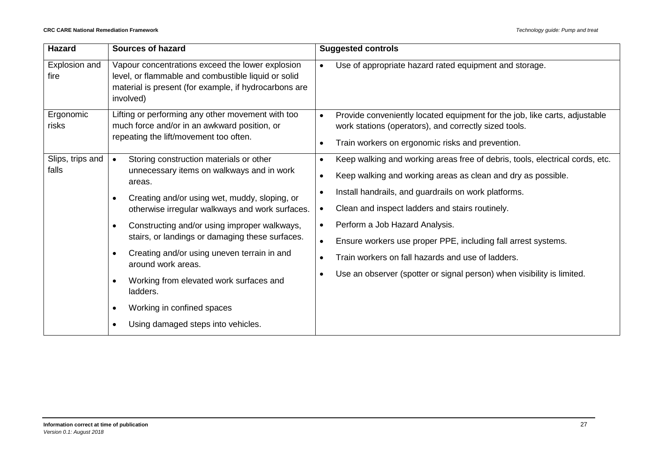| <b>Hazard</b>             | <b>Sources of hazard</b>                                                                                                                                                                                                                                                                                                                                                                                                       | <b>Suggested controls</b>                                                                                                                                                                                                                                                                                                                                                                                                                                                                     |
|---------------------------|--------------------------------------------------------------------------------------------------------------------------------------------------------------------------------------------------------------------------------------------------------------------------------------------------------------------------------------------------------------------------------------------------------------------------------|-----------------------------------------------------------------------------------------------------------------------------------------------------------------------------------------------------------------------------------------------------------------------------------------------------------------------------------------------------------------------------------------------------------------------------------------------------------------------------------------------|
| Explosion and<br>fire     | Vapour concentrations exceed the lower explosion<br>level, or flammable and combustible liquid or solid<br>material is present (for example, if hydrocarbons are<br>involved)                                                                                                                                                                                                                                                  | Use of appropriate hazard rated equipment and storage.<br>$\bullet$                                                                                                                                                                                                                                                                                                                                                                                                                           |
| Ergonomic<br>risks        | Lifting or performing any other movement with too<br>much force and/or in an awkward position, or<br>repeating the lift/movement too often.                                                                                                                                                                                                                                                                                    | Provide conveniently located equipment for the job, like carts, adjustable<br>$\bullet$<br>work stations (operators), and correctly sized tools.<br>Train workers on ergonomic risks and prevention.<br>$\bullet$                                                                                                                                                                                                                                                                             |
| Slips, trips and<br>falls | Storing construction materials or other<br>$\bullet$<br>unnecessary items on walkways and in work<br>areas.<br>Creating and/or using wet, muddy, sloping, or<br>$\bullet$<br>otherwise irregular walkways and work surfaces.<br>Constructing and/or using improper walkways,<br>$\bullet$<br>stairs, or landings or damaging these surfaces.<br>Creating and/or using uneven terrain in and<br>$\bullet$<br>around work areas. | Keep walking and working areas free of debris, tools, electrical cords, etc.<br>$\bullet$<br>Keep walking and working areas as clean and dry as possible.<br>$\bullet$<br>Install handrails, and guardrails on work platforms.<br>Clean and inspect ladders and stairs routinely.<br>$\bullet$<br>Perform a Job Hazard Analysis.<br>$\bullet$<br>Ensure workers use proper PPE, including fall arrest systems.<br>$\bullet$<br>Train workers on fall hazards and use of ladders.<br>$\bullet$ |
|                           | Working from elevated work surfaces and<br>$\bullet$<br>ladders.<br>Working in confined spaces<br>$\bullet$<br>Using damaged steps into vehicles.<br>$\bullet$                                                                                                                                                                                                                                                                 | Use an observer (spotter or signal person) when visibility is limited.                                                                                                                                                                                                                                                                                                                                                                                                                        |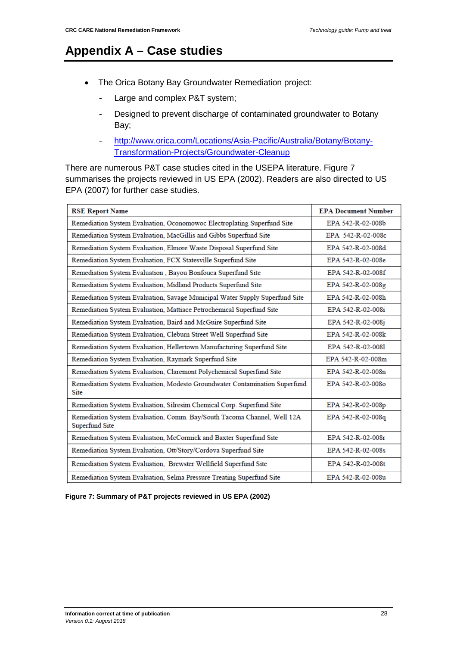# <span id="page-36-0"></span>**Appendix A – Case studies**

- The Orica Botany Bay Groundwater Remediation project:
	- Large and complex P&T system;
	- Designed to prevent discharge of contaminated groundwater to Botany Bay;
	- [http://www.orica.com/Locations/Asia-Pacific/Australia/Botany/Botany-](http://www.orica.com/Locations/Asia-Pacific/Australia/Botany/Botany-Transformation-Projects/Groundwater-Cleanup)[Transformation-Projects/Groundwater-Cleanup](http://www.orica.com/Locations/Asia-Pacific/Australia/Botany/Botany-Transformation-Projects/Groundwater-Cleanup)

There are numerous P&T case studies cited in the USEPA literature. Figure 7 summarises the projects reviewed in US EPA (2002). Readers are also directed to US EPA (2007) for further case studies.

| <b>RSE Report Name</b>                                                                    | <b>EPA Document Number</b> |
|-------------------------------------------------------------------------------------------|----------------------------|
| Remediation System Evaluation, Oconomowoc Electroplating Superfund Site                   | EPA 542-R-02-008b          |
| Remediation System Evaluation, MacGillis and Gibbs Superfund Site                         | EPA 542-R-02-008c          |
| Remediation System Evaluation, Elmore Waste Disposal Superfund Site                       | EPA 542-R-02-008d          |
| Remediation System Evaluation, FCX Statesville Superfund Site                             | EPA 542-R-02-008e          |
| Remediation System Evaluation, Bayou Bonfouca Superfund Site                              | EPA 542-R-02-008f          |
| Remediation System Evaluation, Midland Products Superfund Site                            | EPA 542-R-02-008g          |
| Remediation System Evaluation, Savage Municipal Water Supply Superfund Site               | EPA 542-R-02-008h          |
| Remediation System Evaluation, Mattiace Petrochemical Superfund Site                      | EPA 542-R-02-008i          |
| Remediation System Evaluation, Baird and McGuire Superfund Site                           | EPA 542-R-02-008j          |
| Remediation System Evaluation, Cleburn Street Well Superfund Site                         | EPA 542-R-02-008k          |
| Remediation System Evaluation, Hellertown Manufacturing Superfund Site                    | EPA 542-R-02-0081          |
| Remediation System Evaluation, Raymark Superfund Site                                     | EPA 542-R-02-008m          |
| Remediation System Evaluation, Claremont Polychemical Superfund Site                      | EPA 542-R-02-008n          |
| Remediation System Evaluation, Modesto Groundwater Contamination Superfund<br>Site        | EPA 542-R-02-008o          |
| Remediation System Evaluation, Silresim Chemical Corp. Superfund Site                     | EPA 542-R-02-008p          |
| Remediation System Evaluation, Comm. Bay/South Tacoma Channel, Well 12A<br>Superfund Site | EPA 542-R-02-008q          |
| Remediation System Evaluation, McCormick and Baxter Superfund Site                        | EPA 542-R-02-008r          |
| Remediation System Evaluation, Ott/Story/Cordova Superfund Site                           | EPA 542-R-02-008s          |
| Remediation System Evaluation, Brewster Wellfield Superfund Site                          | EPA 542-R-02-008t          |
| Remediation System Evaluation, Selma Pressure Treating Superfund Site                     | EPA 542-R-02-008u          |

**Figure 7: Summary of P&T projects reviewed in US EPA (2002)**